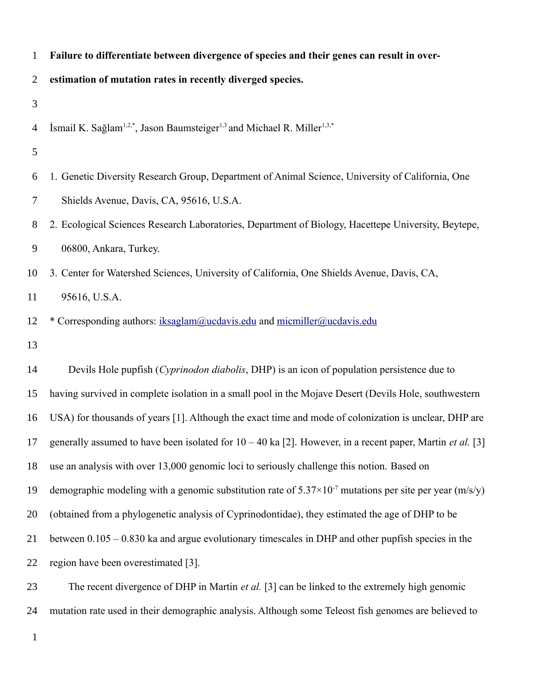| Failure to differentiate between divergence of species and their genes can result in over- |  |
|--------------------------------------------------------------------------------------------|--|
|--------------------------------------------------------------------------------------------|--|

**estimation of mutation rates in recently diverged species.** 2

3

İsmail K. Sağlam<sup>1,2,\*</sup>, Jason Baumsteiger<sup>1,3</sup> and Michael R. Miller<sup>1,3,\*</sup> 4

- 5
- 1. Genetic Diversity Research Group, Department of Animal Science, University of California, One Shields Avenue, Davis, CA, 95616, U.S.A. 6 7
- 2. Ecological Sciences Research Laboratories, Department of Biology, Hacettepe University, Beytepe, 06800, Ankara, Turkey. 8 9
- 3. Center for Watershed Sciences, University of California, One Shields Avenue, Davis, CA, 10

95616, U.S.A. 11

- \* Corresponding authors: iksaglam@ucdavis.edu and micmiller@ucdavis.edu 12
- 13

Devils Hole pupfish (*Cyprinodon diabolis*, DHP) is an icon of population persistence due to having survived in complete isolation in a small pool in the Mojave Desert (Devils Hole, southwestern USA) for thousands of years [1]. Although the exact time and mode of colonization is unclear, DHP are generally assumed to have been isolated for  $10 - 40$  ka [2]. However, in a recent paper, Martin *et al.* [3] use an analysis with over 13,000 genomic loci to seriously challenge this notion. Based on demographic modeling with a genomic substitution rate of  $5.37 \times 10^{-7}$  mutations per site per year (m/s/y) (obtained from a phylogenetic analysis of Cyprinodontidae), they estimated the age of DHP to be between 0.105 – 0.830 ka and argue evolutionary timescales in DHP and other pupfish species in the region have been overestimated [3]. The recent divergence of DHP in Martin *et al.* [3] can be linked to the extremely high genomic 14 15 16 17 18 19 20 21 22 23

mutation rate used in their demographic analysis. Although some Teleost fish genomes are believed to 24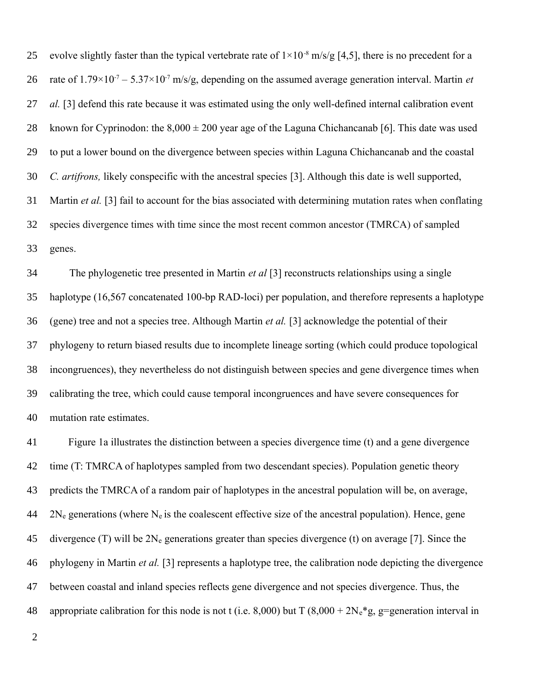evolve slightly faster than the typical vertebrate rate of  $1\times10^{-8}$  m/s/g [4,5], there is no precedent for a rate of  $1.79 \times 10^{-7} - 5.37 \times 10^{-7}$  m/s/g, depending on the assumed average generation interval. Martin *et al.* [3] defend this rate because it was estimated using the only well-defined internal calibration event known for Cyprinodon: the  $8,000 \pm 200$  year age of the Laguna Chichancanab [6]. This date was used to put a lower bound on the divergence between species within Laguna Chichancanab and the coastal *C. artifrons,* likely conspecific with the ancestral species [3]. Although this date is well supported, Martin *et al.* [3] fail to account for the bias associated with determining mutation rates when conflating species divergence times with time since the most recent common ancestor (TMRCA) of sampled genes. 25 26 27 28 29 30 31 32 33

The phylogenetic tree presented in Martin *et al* [3] reconstructs relationships using a single haplotype (16,567 concatenated 100-bp RAD-loci) per population, and therefore represents a haplotype (gene) tree and not a species tree. Although Martin *et al.* [3] acknowledge the potential of their phylogeny to return biased results due to incomplete lineage sorting (which could produce topological incongruences), they nevertheless do not distinguish between species and gene divergence times when calibrating the tree, which could cause temporal incongruences and have severe consequences for mutation rate estimates. 34 35 36 37 38 39 40

Figure 1a illustrates the distinction between a species divergence time (t) and a gene divergence time (T: TMRCA of haplotypes sampled from two descendant species). Population genetic theory predicts the TMRCA of a random pair of haplotypes in the ancestral population will be, on average,  $2N_e$  generations (where  $N_e$  is the coalescent effective size of the ancestral population). Hence, gene divergence (T) will be  $2N_e$  generations greater than species divergence (t) on average [7]. Since the phylogeny in Martin *et al.* [3] represents a haplotype tree, the calibration node depicting the divergence between coastal and inland species reflects gene divergence and not species divergence. Thus, the appropriate calibration for this node is not t (i.e. 8,000) but T (8,000 +  $2N_e$ <sup>\*</sup>g, g=generation interval in 41 42 43 44 45 46 47 48

2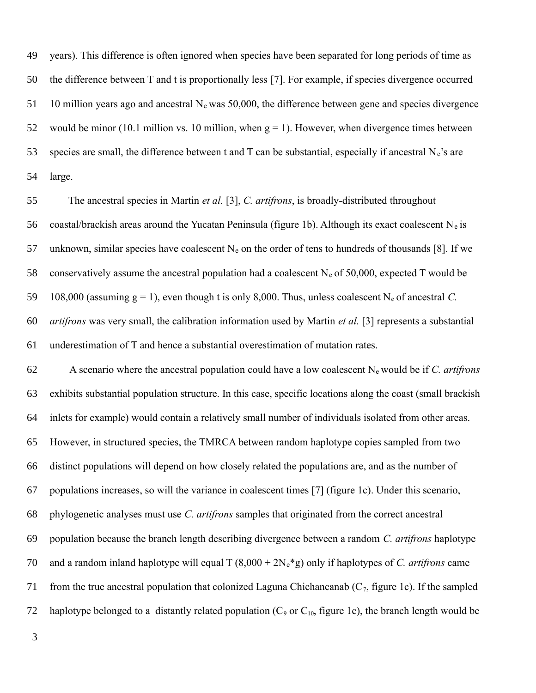years). This difference is often ignored when species have been separated for long periods of time as the difference between T and t is proportionally less [7]. For example, if species divergence occurred 10 million years ago and ancestral  $N_e$  was 50,000, the difference between gene and species divergence would be minor (10.1 million vs. 10 million, when  $g = 1$ ). However, when divergence times between species are small, the difference between t and  $T$  can be substantial, especially if ancestral  $N_e$ 's are large. 49 50 51 52 53 54

The ancestral species in Martin *et al.* [3], *C. artifrons*, is broadly-distributed throughout coastal/brackish areas around the Yucatan Peninsula (figure 1b). Although its exact coalescent  $N_e$  is unknown, similar species have coalescent  $N_e$  on the order of tens to hundreds of thousands [8]. If we conservatively assume the ancestral population had a coalescent  $N_e$  of 50,000, expected T would be 108,000 (assuming  $g = 1$ ), even though t is only 8,000. Thus, unless coalescent N<sub>e</sub> of ancestral *C*. *artifrons* was very small, the calibration information used by Martin *et al.* [3] represents a substantial underestimation of T and hence a substantial overestimation of mutation rates. 55 56 57 58 59 60 61

A scenario where the ancestral population could have a low coalescent Ne would be if *C. artifrons*  exhibits substantial population structure. In this case, specific locations along the coast (small brackish inlets for example) would contain a relatively small number of individuals isolated from other areas. However, in structured species, the TMRCA between random haplotype copies sampled from two distinct populations will depend on how closely related the populations are, and as the number of populations increases, so will the variance in coalescent times [7] (figure 1c). Under this scenario, phylogenetic analyses must use *C. artifrons* samples that originated from the correct ancestral population because the branch length describing divergence between a random *C. artifrons* haplotype and a random inland haplotype will equal  $T (8,000 + 2N_e * g)$  only if haplotypes of *C. artifrons* came from the true ancestral population that colonized Laguna Chichancanab  $(C_7,$  figure 1c). If the sampled haplotype belonged to a distantly related population  $(C_9$  or  $C_{10}$ , figure 1c), the branch length would be 62 63 64 65 66 67 68 69 70 71 72

3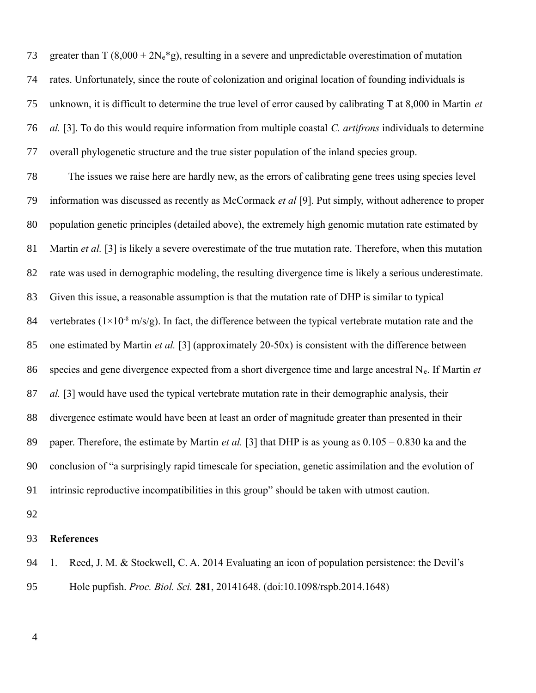greater than  $T (8,000 + 2N_e * g)$ , resulting in a severe and unpredictable overestimation of mutation rates. Unfortunately, since the route of colonization and original location of founding individuals is unknown, it is difficult to determine the true level of error caused by calibrating T at 8,000 in Martin *et al.* [3]. To do this would require information from multiple coastal *C. artifrons* individuals to determine overall phylogenetic structure and the true sister population of the inland species group. 73 74 75 76 77

The issues we raise here are hardly new, as the errors of calibrating gene trees using species level information was discussed as recently as McCormack *et al* [9]. Put simply, without adherence to proper population genetic principles (detailed above), the extremely high genomic mutation rate estimated by Martin *et al.* [3] is likely a severe overestimate of the true mutation rate. Therefore, when this mutation rate was used in demographic modeling, the resulting divergence time is likely a serious underestimate. Given this issue, a reasonable assumption is that the mutation rate of DHP is similar to typical vertebrates ( $1\times10^{-8}$  m/s/g). In fact, the difference between the typical vertebrate mutation rate and the one estimated by Martin *et al.* [3] (approximately 20-50x) is consistent with the difference between species and gene divergence expected from a short divergence time and large ancestral Ne. If Martin *et al.* [3] would have used the typical vertebrate mutation rate in their demographic analysis, their divergence estimate would have been at least an order of magnitude greater than presented in their paper. Therefore, the estimate by Martin *et al.* [3] that DHP is as young as 0.105 – 0.830 ka and the conclusion of "a surprisingly rapid timescale for speciation, genetic assimilation and the evolution of intrinsic reproductive incompatibilities in this group" should be taken with utmost caution. 78 79 80 81 82 83 84 85 86 87 88 89 90 91

92

## **References** 93

1. Reed, J. M. & Stockwell, C. A. 2014 Evaluating an icon of population persistence: the Devil's Hole pupfish. *Proc. Biol. Sci.* **281**, 20141648. (doi:10.1098/rspb.2014.1648) 94 95

4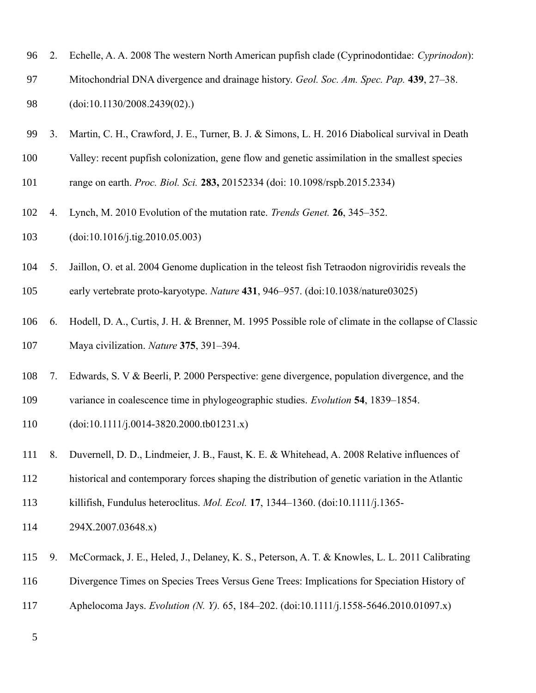| 96  | 2. | Echelle, A. A. 2008 The western North American pupfish clade (Cyprinodontidae: Cyprinodon):         |
|-----|----|-----------------------------------------------------------------------------------------------------|
| 97  |    | Mitochondrial DNA divergence and drainage history. Geol. Soc. Am. Spec. Pap. 439, 27–38.            |
| 98  |    | (doi: 10.1130/2008.2439(02))                                                                        |
| 99  | 3. | Martin, C. H., Crawford, J. E., Turner, B. J. & Simons, L. H. 2016 Diabolical survival in Death     |
| 100 |    | Valley: recent pupfish colonization, gene flow and genetic assimilation in the smallest species     |
| 101 |    | range on earth. <i>Proc. Biol. Sci.</i> 283, 20152334 (doi: 10.1098/rspb.2015.2334)                 |
| 102 | 4. | Lynch, M. 2010 Evolution of the mutation rate. <i>Trends Genet</i> . <b>26</b> , 345–352.           |
| 103 |    | (doi: 10.1016/j.tig. 2010.05.003)                                                                   |
| 104 | 5. | Jaillon, O. et al. 2004 Genome duplication in the teleost fish Tetraodon nigroviridis reveals the   |
| 105 |    | early vertebrate proto-karyotype. Nature 431, 946–957. (doi:10.1038/nature03025)                    |
| 106 | 6. | Hodell, D. A., Curtis, J. H. & Brenner, M. 1995 Possible role of climate in the collapse of Classic |
| 107 |    | Maya civilization. Nature 375, 391-394.                                                             |
| 108 | 7. | Edwards, S. V & Beerli, P. 2000 Perspective: gene divergence, population divergence, and the        |
| 109 |    | variance in coalescence time in phylogeographic studies. Evolution 54, 1839–1854.                   |
| 110 |    | $(doi: 10.1111/j.0014-3820.2000.tb01231.x)$                                                         |
| 111 | 8. | Duvernell, D. D., Lindmeier, J. B., Faust, K. E. & Whitehead, A. 2008 Relative influences of        |
| 112 |    | historical and contemporary forces shaping the distribution of genetic variation in the Atlantic    |
| 113 |    | killifish, Fundulus heteroclitus. <i>Mol. Ecol.</i> 17, 1344–1360. (doi:10.1111/j.1365-             |
| 114 |    | 294X.2007.03648.x)                                                                                  |
| 115 | 9. | McCormack, J. E., Heled, J., Delaney, K. S., Peterson, A. T. & Knowles, L. L. 2011 Calibrating      |
| 116 |    | Divergence Times on Species Trees Versus Gene Trees: Implications for Speciation History of         |
| 117 |    | Aphelocoma Jays. Evolution (N. Y). 65, 184-202. (doi:10.1111/j.1558-5646.2010.01097.x)              |
| 5   |    |                                                                                                     |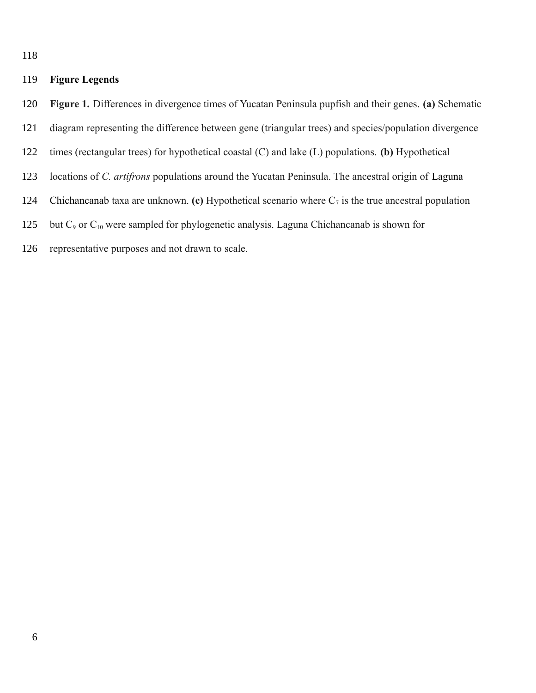118

## **Figure Legends** 119

- **Figure 1.** Differences in divergence times of Yucatan Peninsula pupfish and their genes. **(a)** Schematic 120
- diagram representing the difference between gene (triangular trees) and species/population divergence 121
- times (rectangular trees) for hypothetical coastal (C) and lake (L) populations. **(b)** Hypothetical 122
- locations of *C. artifrons* populations around the Yucatan Peninsula. The ancestral origin of Laguna 123
- Chichancanab taxa are unknown. **(c)** Hypothetical scenario where  $C_7$  is the true ancestral population 124
- but C<sub>9</sub> or C<sub>10</sub> were sampled for phylogenetic analysis. Laguna Chichancanab is shown for 125
- representative purposes and not drawn to scale. 126